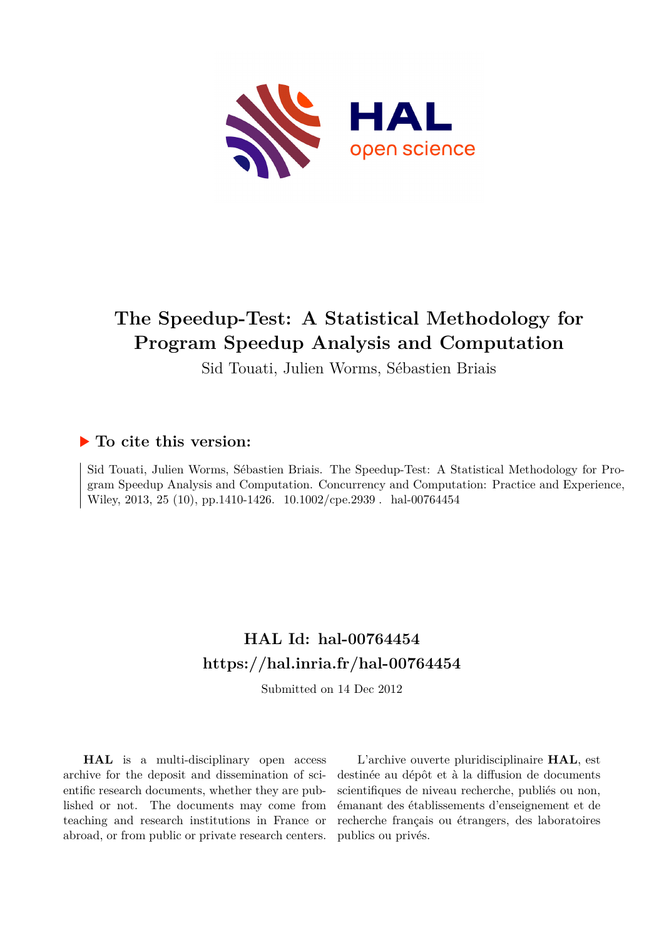

# **The Speedup-Test: A Statistical Methodology for Program Speedup Analysis and Computation**

Sid Touati, Julien Worms, Sébastien Briais

# **To cite this version:**

Sid Touati, Julien Worms, Sébastien Briais. The Speedup-Test: A Statistical Methodology for Program Speedup Analysis and Computation. Concurrency and Computation: Practice and Experience, Wiley, 2013, 25 (10), pp.1410-1426.  $10.1002$ /cpe.2939 . hal-00764454

# **HAL Id: hal-00764454 <https://hal.inria.fr/hal-00764454>**

Submitted on 14 Dec 2012

**HAL** is a multi-disciplinary open access archive for the deposit and dissemination of scientific research documents, whether they are published or not. The documents may come from teaching and research institutions in France or abroad, or from public or private research centers.

L'archive ouverte pluridisciplinaire **HAL**, est destinée au dépôt et à la diffusion de documents scientifiques de niveau recherche, publiés ou non, émanant des établissements d'enseignement et de recherche français ou étrangers, des laboratoires publics ou privés.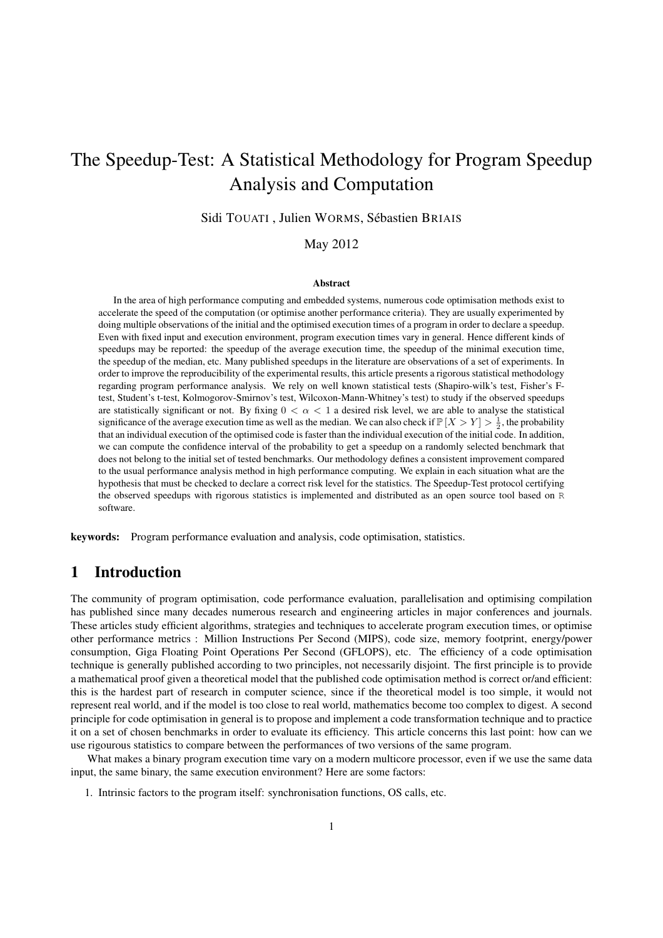# The Speedup-Test: A Statistical Methodology for Program Speedup Analysis and Computation

Sidi TOUATI, Julien WORMS, Sébastien BRIAIS

May 2012

#### Abstract

In the area of high performance computing and embedded systems, numerous code optimisation methods exist to accelerate the speed of the computation (or optimise another performance criteria). They are usually experimented by doing multiple observations of the initial and the optimised execution times of a program in order to declare a speedup. Even with fixed input and execution environment, program execution times vary in general. Hence different kinds of speedups may be reported: the speedup of the average execution time, the speedup of the minimal execution time, the speedup of the median, etc. Many published speedups in the literature are observations of a set of experiments. In order to improve the reproducibility of the experimental results, this article presents a rigorous statistical methodology regarding program performance analysis. We rely on well known statistical tests (Shapiro-wilk's test, Fisher's Ftest, Student's t-test, Kolmogorov-Smirnov's test, Wilcoxon-Mann-Whitney's test) to study if the observed speedups are statistically significant or not. By fixing  $0 < \alpha < 1$  a desired risk level, we are able to analyse the statistical significance of the average execution time as well as the median. We can also check if  $\mathbb{P}[X > Y] > \frac{1}{2}$ , the probability that an individual execution of the optimised code is faster than the individual execution of the initial code. In addition, we can compute the confidence interval of the probability to get a speedup on a randomly selected benchmark that does not belong to the initial set of tested benchmarks. Our methodology defines a consistent improvement compared to the usual performance analysis method in high performance computing. We explain in each situation what are the hypothesis that must be checked to declare a correct risk level for the statistics. The Speedup-Test protocol certifying the observed speedups with rigorous statistics is implemented and distributed as an open source tool based on R software.

keywords: Program performance evaluation and analysis, code optimisation, statistics.

## 1 Introduction

The community of program optimisation, code performance evaluation, parallelisation and optimising compilation has published since many decades numerous research and engineering articles in major conferences and journals. These articles study efficient algorithms, strategies and techniques to accelerate program execution times, or optimise other performance metrics : Million Instructions Per Second (MIPS), code size, memory footprint, energy/power consumption, Giga Floating Point Operations Per Second (GFLOPS), etc. The efficiency of a code optimisation technique is generally published according to two principles, not necessarily disjoint. The first principle is to provide a mathematical proof given a theoretical model that the published code optimisation method is correct or/and efficient: this is the hardest part of research in computer science, since if the theoretical model is too simple, it would not represent real world, and if the model is too close to real world, mathematics become too complex to digest. A second principle for code optimisation in general is to propose and implement a code transformation technique and to practice it on a set of chosen benchmarks in order to evaluate its efficiency. This article concerns this last point: how can we use rigourous statistics to compare between the performances of two versions of the same program.

What makes a binary program execution time vary on a modern multicore processor, even if we use the same data input, the same binary, the same execution environment? Here are some factors:

1. Intrinsic factors to the program itself: synchronisation functions, OS calls, etc.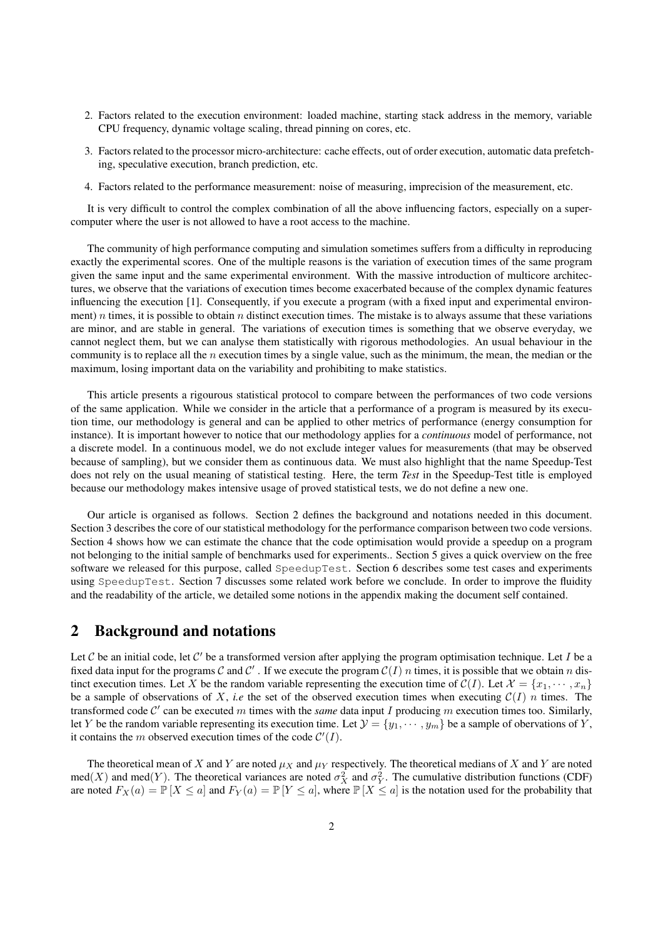- 2. Factors related to the execution environment: loaded machine, starting stack address in the memory, variable CPU frequency, dynamic voltage scaling, thread pinning on cores, etc.
- 3. Factors related to the processor micro-architecture: cache effects, out of order execution, automatic data prefetching, speculative execution, branch prediction, etc.
- 4. Factors related to the performance measurement: noise of measuring, imprecision of the measurement, etc.

It is very difficult to control the complex combination of all the above influencing factors, especially on a supercomputer where the user is not allowed to have a root access to the machine.

The community of high performance computing and simulation sometimes suffers from a difficulty in reproducing exactly the experimental scores. One of the multiple reasons is the variation of execution times of the same program given the same input and the same experimental environment. With the massive introduction of multicore architectures, we observe that the variations of execution times become exacerbated because of the complex dynamic features influencing the execution [1]. Consequently, if you execute a program (with a fixed input and experimental environment) n times, it is possible to obtain n distinct execution times. The mistake is to always assume that these variations are minor, and are stable in general. The variations of execution times is something that we observe everyday, we cannot neglect them, but we can analyse them statistically with rigorous methodologies. An usual behaviour in the community is to replace all the n execution times by a single value, such as the minimum, the mean, the median or the maximum, losing important data on the variability and prohibiting to make statistics.

This article presents a rigourous statistical protocol to compare between the performances of two code versions of the same application. While we consider in the article that a performance of a program is measured by its execution time, our methodology is general and can be applied to other metrics of performance (energy consumption for instance). It is important however to notice that our methodology applies for a *continuous* model of performance, not a discrete model. In a continuous model, we do not exclude integer values for measurements (that may be observed because of sampling), but we consider them as continuous data. We must also highlight that the name Speedup-Test does not rely on the usual meaning of statistical testing. Here, the term *Test* in the Speedup-Test title is employed because our methodology makes intensive usage of proved statistical tests, we do not define a new one.

Our article is organised as follows. Section 2 defines the background and notations needed in this document. Section 3 describes the core of our statistical methodology for the performance comparison between two code versions. Section 4 shows how we can estimate the chance that the code optimisation would provide a speedup on a program not belonging to the initial sample of benchmarks used for experiments.. Section 5 gives a quick overview on the free software we released for this purpose, called SpeedupTest. Section 6 describes some test cases and experiments using SpeedupTest. Section 7 discusses some related work before we conclude. In order to improve the fluidity and the readability of the article, we detailed some notions in the appendix making the document self contained.

### 2 Background and notations

Let  $C$  be an initial code, let  $C'$  be a transformed version after applying the program optimisation technique. Let I be a fixed data input for the programs C and C'. If we execute the program  $C(I)$  *n* times, it is possible that we obtain *n* distinct execution times. Let X be the random variable representing the execution time of  $\mathcal{C}(I)$ . Let  $\mathcal{X} = \{x_1, \dots, x_n\}$ be a sample of observations of X, *i.e* the set of the observed execution times when executing  $\mathcal{C}(I)$  *n* times. The transformed code  $C'$  can be executed m times with the *same* data input I producing m execution times too. Similarly, let Y be the random variable representing its execution time. Let  $\mathcal{Y} = \{y_1, \dots, y_m\}$  be a sample of obervations of Y, it contains the m observed execution times of the code  $\mathcal{C}'(I)$ .

The theoretical mean of X and Y are noted  $\mu_X$  and  $\mu_Y$  respectively. The theoretical medians of X and Y are noted med(X) and med(Y). The theoretical variances are noted  $\sigma_X^2$  and  $\sigma_Y^2$ . The cumulative distribution functions (CDF) are noted  $F_X(a) = \mathbb{P}[X \le a]$  and  $F_Y(a) = \mathbb{P}[Y \le a]$ , where  $\mathbb{P}[X \le a]$  is the notation used for the probability that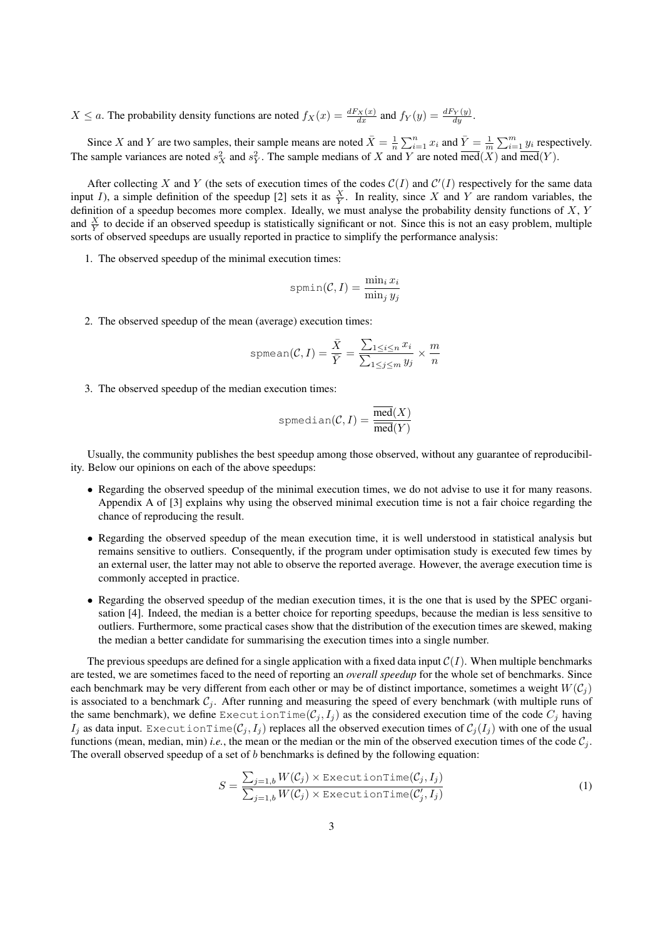$X \le a$ . The probability density functions are noted  $f_X(x) = \frac{dF_X(x)}{dx}$  and  $f_Y(y) = \frac{dF_Y(y)}{dy}$ .

Since X and Y are two samples, their sample means are noted  $\bar{X} = \frac{1}{n} \sum_{i=1}^{n} x_i$  and  $\bar{Y} = \frac{1}{m} \sum_{i=1}^{m} y_i$  respectively. The sample variances are noted  $s_X^2$  and  $s_Y^2$ . The sample medians of X and Y are noted  $\overline{med}(X)$  and  $\overline{med}(Y)$ .

After collecting X and Y (the sets of execution times of the codes  $C(I)$  and  $C'(I)$  respectively for the same data input *I*), a simple definition of the speedup [2] sets it as  $\frac{X}{Y}$ . In reality, since X and Y are random variables, the definition of a speedup becomes more complex. Ideally, we must analyse the probability density functions of  $X, Y$ and  $\frac{X}{Y}$  to decide if an observed speedup is statistically significant or not. Since this is not an easy problem, multiple sorts of observed speedups are usually reported in practice to simplify the performance analysis:

1. The observed speedup of the minimal execution times:

$$
\text{spmin}(\mathcal{C}, I) = \frac{\min_i x_i}{\min_j y_j}
$$

2. The observed speedup of the mean (average) execution times:

$$
\text{spmean}(\mathcal{C}, I) = \frac{\bar{X}}{\bar{Y}} = \frac{\sum_{1 \le i \le n} x_i}{\sum_{1 \le j \le m} y_j} \times \frac{m}{n}
$$

3. The observed speedup of the median execution times:

$$
\text{spmedian}(\mathcal{C}, I) = \frac{\overline{\text{med}}(X)}{\overline{\text{med}}(Y)}
$$

Usually, the community publishes the best speedup among those observed, without any guarantee of reproducibility. Below our opinions on each of the above speedups:

- Regarding the observed speedup of the minimal execution times, we do not advise to use it for many reasons. Appendix A of [3] explains why using the observed minimal execution time is not a fair choice regarding the chance of reproducing the result.
- Regarding the observed speedup of the mean execution time, it is well understood in statistical analysis but remains sensitive to outliers. Consequently, if the program under optimisation study is executed few times by an external user, the latter may not able to observe the reported average. However, the average execution time is commonly accepted in practice.
- Regarding the observed speedup of the median execution times, it is the one that is used by the SPEC organisation [4]. Indeed, the median is a better choice for reporting speedups, because the median is less sensitive to outliers. Furthermore, some practical cases show that the distribution of the execution times are skewed, making the median a better candidate for summarising the execution times into a single number.

The previous speedups are defined for a single application with a fixed data input  $C(I)$ . When multiple benchmarks are tested, we are sometimes faced to the need of reporting an *overall speedup* for the whole set of benchmarks. Since each benchmark may be very different from each other or may be of distinct importance, sometimes a weight  $W(C_i)$ is associated to a benchmark  $C_j$ . After running and measuring the speed of every benchmark (with multiple runs of the same benchmark), we define ExecutionTime( $\mathcal{C}_j, I_j$ ) as the considered execution time of the code  $C_j$  having  $I_i$  as data input. ExecutionTime( $C_j, I_j$ ) replaces all the observed execution times of  $C_j(I_j)$  with one of the usual functions (mean, median, min) *i.e.*, the mean or the median or the min of the observed execution times of the code  $C_i$ . The overall observed speedup of a set of  $b$  benchmarks is defined by the following equation:

$$
S = \frac{\sum_{j=1,b} W(C_j) \times \text{ExecutionTime}(C_j, I_j)}{\sum_{j=1,b} W(C_j) \times \text{ExecutionTime}(C'_j, I_j)}
$$
(1)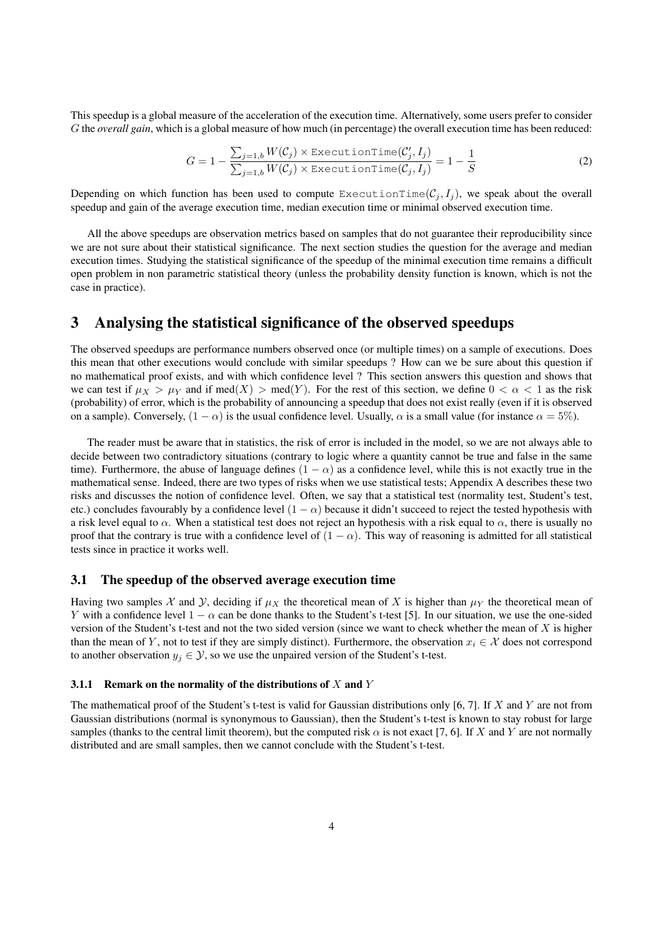This speedup is a global measure of the acceleration of the execution time. Alternatively, some users prefer to consider G the *overall gain*, which is a global measure of how much (in percentage) the overall execution time has been reduced:

$$
G = 1 - \frac{\sum_{j=1,b} W(C_j) \times \text{ExecutionTime}(C'_j, I_j)}{\sum_{j=1,b} W(C_j) \times \text{ExecutionTime}(C_j, I_j)} = 1 - \frac{1}{S}
$$
(2)

Depending on which function has been used to compute ExecutionTime( $\mathcal{C}_j, I_j$ ), we speak about the overall speedup and gain of the average execution time, median execution time or minimal observed execution time.

All the above speedups are observation metrics based on samples that do not guarantee their reproducibility since we are not sure about their statistical significance. The next section studies the question for the average and median execution times. Studying the statistical significance of the speedup of the minimal execution time remains a difficult open problem in non parametric statistical theory (unless the probability density function is known, which is not the case in practice).

# 3 Analysing the statistical significance of the observed speedups

The observed speedups are performance numbers observed once (or multiple times) on a sample of executions. Does this mean that other executions would conclude with similar speedups ? How can we be sure about this question if no mathematical proof exists, and with which confidence level ? This section answers this question and shows that we can test if  $\mu_X > \mu_Y$  and if  $\text{med}(X) > \text{med}(Y)$ . For the rest of this section, we define  $0 < \alpha < 1$  as the risk (probability) of error, which is the probability of announcing a speedup that does not exist really (even if it is observed on a sample). Conversely,  $(1 - \alpha)$  is the usual confidence level. Usually,  $\alpha$  is a small value (for instance  $\alpha = 5\%$ ).

The reader must be aware that in statistics, the risk of error is included in the model, so we are not always able to decide between two contradictory situations (contrary to logic where a quantity cannot be true and false in the same time). Furthermore, the abuse of language defines  $(1 - \alpha)$  as a confidence level, while this is not exactly true in the mathematical sense. Indeed, there are two types of risks when we use statistical tests; Appendix A describes these two risks and discusses the notion of confidence level. Often, we say that a statistical test (normality test, Student's test, etc.) concludes favourably by a confidence level  $(1 - \alpha)$  because it didn't succeed to reject the tested hypothesis with a risk level equal to  $\alpha$ . When a statistical test does not reject an hypothesis with a risk equal to  $\alpha$ , there is usually no proof that the contrary is true with a confidence level of  $(1 - \alpha)$ . This way of reasoning is admitted for all statistical tests since in practice it works well.

#### 3.1 The speedup of the observed average execution time

Having two samples X and Y, deciding if  $\mu_X$  the theoretical mean of X is higher than  $\mu_Y$  the theoretical mean of Y with a confidence level  $1 - \alpha$  can be done thanks to the Student's t-test [5]. In our situation, we use the one-sided version of the Student's t-test and not the two sided version (since we want to check whether the mean of  $X$  is higher than the mean of Y, not to test if they are simply distinct). Furthermore, the observation  $x_i \in \mathcal{X}$  does not correspond to another observation  $y_j \in \mathcal{Y}$ , so we use the unpaired version of the Student's t-test.

#### 3.1.1 Remark on the normality of the distributions of  $X$  and  $Y$

The mathematical proof of the Student's t-test is valid for Gaussian distributions only  $[6, 7]$ . If X and Y are not from Gaussian distributions (normal is synonymous to Gaussian), then the Student's t-test is known to stay robust for large samples (thanks to the central limit theorem), but the computed risk  $\alpha$  is not exact [7, 6]. If X and Y are not normally distributed and are small samples, then we cannot conclude with the Student's t-test.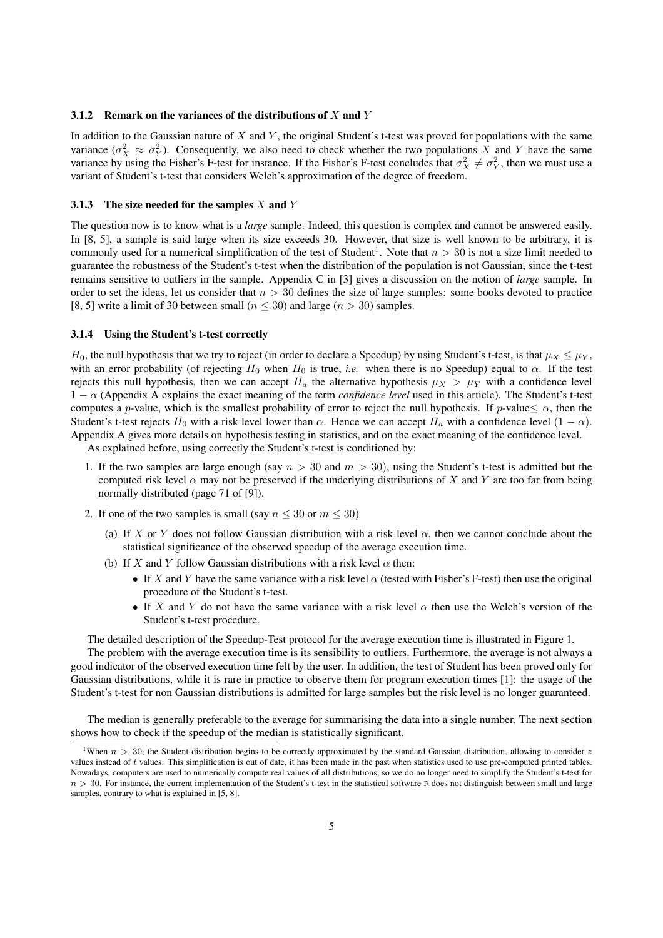#### 3.1.2 Remark on the variances of the distributions of  $X$  and  $Y$

In addition to the Gaussian nature of  $X$  and  $Y$ , the original Student's t-test was proved for populations with the same variance  $(\sigma_X^2 \approx \sigma_Y^2)$ . Consequently, we also need to check whether the two populations X and Y have the same variance by using the Fisher's F-test for instance. If the Fisher's F-test concludes that  $\sigma_X^2 \neq \sigma_Y^2$ , then we must use a variant of Student's t-test that considers Welch's approximation of the degree of freedom.

#### 3.1.3 The size needed for the samples  $X$  and  $Y$

The question now is to know what is a *large* sample. Indeed, this question is complex and cannot be answered easily. In [8, 5], a sample is said large when its size exceeds 30. However, that size is well known to be arbitrary, it is commonly used for a numerical simplification of the test of Student<sup>1</sup>. Note that  $n > 30$  is not a size limit needed to guarantee the robustness of the Student's t-test when the distribution of the population is not Gaussian, since the t-test remains sensitive to outliers in the sample. Appendix C in [3] gives a discussion on the notion of *large* sample. In order to set the ideas, let us consider that  $n > 30$  defines the size of large samples: some books devoted to practice [8, 5] write a limit of 30 between small ( $n \le 30$ ) and large ( $n > 30$ ) samples.

#### 3.1.4 Using the Student's t-test correctly

 $H_0$ , the null hypothesis that we try to reject (in order to declare a Speedup) by using Student's t-test, is that  $\mu_X \leq \mu_Y$ , with an error probability (of rejecting  $H_0$  when  $H_0$  is true, *i.e.* when there is no Speedup) equal to  $\alpha$ . If the test rejects this null hypothesis, then we can accept  $H_a$  the alternative hypothesis  $\mu_X > \mu_Y$  with a confidence level 1 − α (Appendix A explains the exact meaning of the term *confidence level* used in this article). The Student's t-test computes a p-value, which is the smallest probability of error to reject the null hypothesis. If p-value  $\lt \alpha$ , then the Student's t-test rejects  $H_0$  with a risk level lower than  $\alpha$ . Hence we can accept  $H_a$  with a confidence level  $(1 - \alpha)$ . Appendix A gives more details on hypothesis testing in statistics, and on the exact meaning of the confidence level.

As explained before, using correctly the Student's t-test is conditioned by:

- 1. If the two samples are large enough (say  $n > 30$  and  $m > 30$ ), using the Student's t-test is admitted but the computed risk level  $\alpha$  may not be preserved if the underlying distributions of X and Y are too far from being normally distributed (page 71 of [9]).
- 2. If one of the two samples is small (say  $n \leq 30$  or  $m \leq 30$ )
	- (a) If X or Y does not follow Gaussian distribution with a risk level  $\alpha$ , then we cannot conclude about the statistical significance of the observed speedup of the average execution time.
	- (b) If X and Y follow Gaussian distributions with a risk level  $\alpha$  then:
		- If X and Y have the same variance with a risk level  $\alpha$  (tested with Fisher's F-test) then use the original procedure of the Student's t-test.
		- If X and Y do not have the same variance with a risk level  $\alpha$  then use the Welch's version of the Student's t-test procedure.

The detailed description of the Speedup-Test protocol for the average execution time is illustrated in Figure 1.

The problem with the average execution time is its sensibility to outliers. Furthermore, the average is not always a good indicator of the observed execution time felt by the user. In addition, the test of Student has been proved only for Gaussian distributions, while it is rare in practice to observe them for program execution times [1]: the usage of the Student's t-test for non Gaussian distributions is admitted for large samples but the risk level is no longer guaranteed.

The median is generally preferable to the average for summarising the data into a single number. The next section shows how to check if the speedup of the median is statistically significant.

<sup>&</sup>lt;sup>1</sup>When  $n > 30$ , the Student distribution begins to be correctly approximated by the standard Gaussian distribution, allowing to consider z values instead of  $t$  values. This simplification is out of date, it has been made in the past when statistics used to use pre-computed printed tables. Nowadays, computers are used to numerically compute real values of all distributions, so we do no longer need to simplify the Student's t-test for  $n > 30$ . For instance, the current implementation of the Student's t-test in the statistical software R does not distinguish between small and large samples, contrary to what is explained in [5, 8].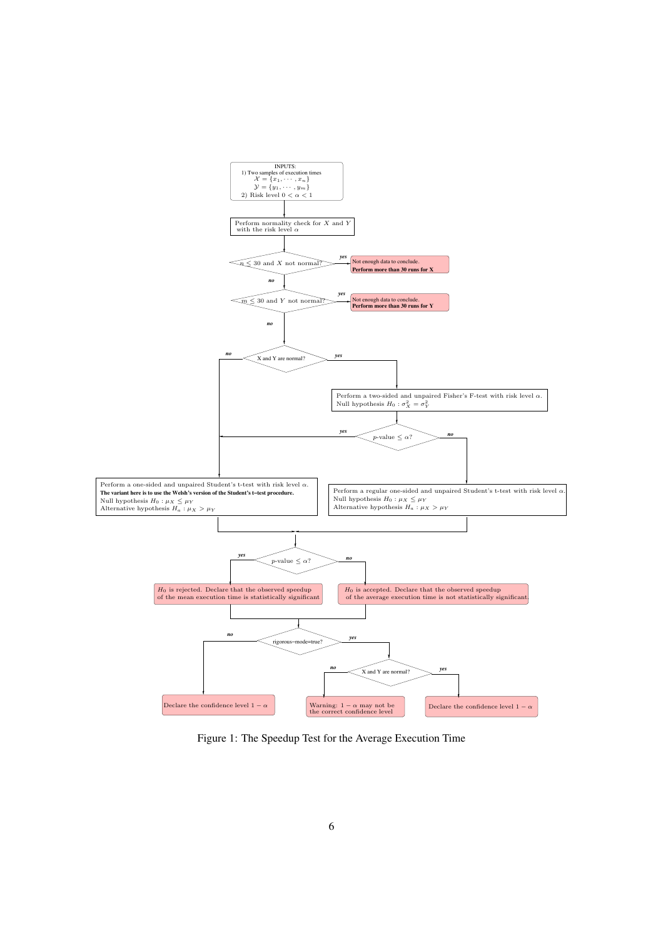

Figure 1: The Speedup Test for the Average Execution Time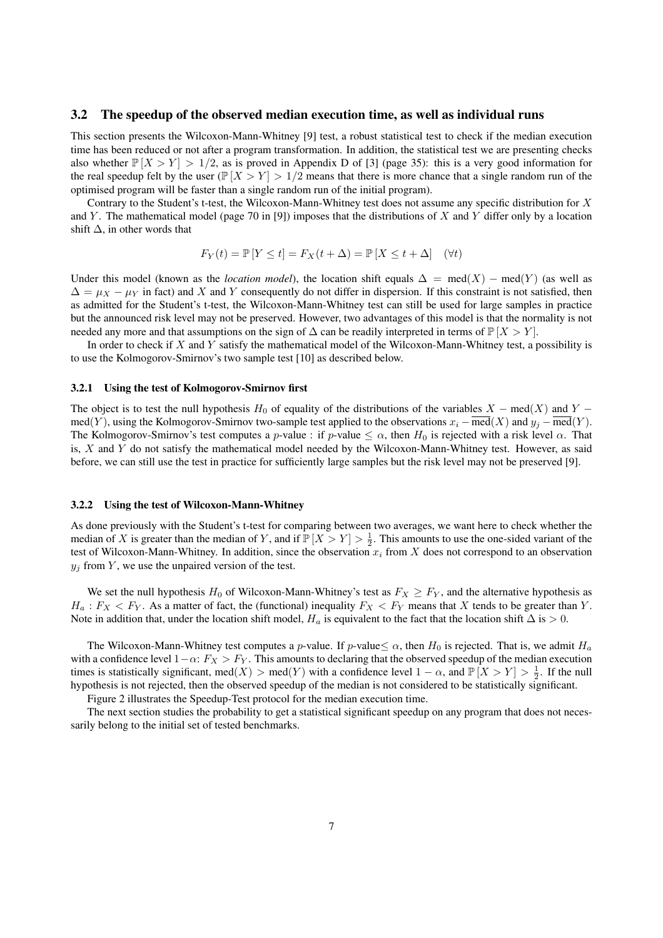#### 3.2 The speedup of the observed median execution time, as well as individual runs

This section presents the Wilcoxon-Mann-Whitney [9] test, a robust statistical test to check if the median execution time has been reduced or not after a program transformation. In addition, the statistical test we are presenting checks also whether  $\mathbb{P}[X>Y] > 1/2$ , as is proved in Appendix D of [3] (page 35): this is a very good information for the real speedup felt by the user ( $\mathbb{P}[X>Y] > 1/2$  means that there is more chance that a single random run of the optimised program will be faster than a single random run of the initial program).

Contrary to the Student's t-test, the Wilcoxon-Mann-Whitney test does not assume any specific distribution for X and Y. The mathematical model (page 70 in [9]) imposes that the distributions of X and Y differ only by a location shift  $\Delta$ , in other words that

$$
F_Y(t) = \mathbb{P}\left[Y \le t\right] = F_X(t + \Delta) = \mathbb{P}\left[X \le t + \Delta\right] \quad (\forall t)
$$

Under this model (known as the *location model*), the location shift equals  $\Delta = \text{med}(X) - \text{med}(Y)$  (as well as  $\Delta = \mu_X - \mu_Y$  in fact) and X and Y consequently do not differ in dispersion. If this constraint is not satisfied, then as admitted for the Student's t-test, the Wilcoxon-Mann-Whitney test can still be used for large samples in practice but the announced risk level may not be preserved. However, two advantages of this model is that the normality is not needed any more and that assumptions on the sign of  $\Delta$  can be readily interpreted in terms of  $\mathbb{P}[X>Y]$ .

In order to check if  $X$  and  $Y$  satisfy the mathematical model of the Wilcoxon-Mann-Whitney test, a possibility is to use the Kolmogorov-Smirnov's two sample test [10] as described below.

#### 3.2.1 Using the test of Kolmogorov-Smirnov first

The object is to test the null hypothesis H<sub>0</sub> of equality of the distributions of the variables  $X - \text{med}(X)$  and Y − med(Y), using the Kolmogorov-Smirnov two-sample test applied to the observations  $x_i - \overline{med}(X)$  and  $y_j - \overline{med}(Y)$ . The Kolmogorov-Smirnov's test computes a p-value : if p-value  $\leq \alpha$ , then  $H_0$  is rejected with a risk level  $\alpha$ . That is,  $X$  and  $Y$  do not satisfy the mathematical model needed by the Wilcoxon-Mann-Whitney test. However, as said before, we can still use the test in practice for sufficiently large samples but the risk level may not be preserved [9].

#### 3.2.2 Using the test of Wilcoxon-Mann-Whitney

As done previously with the Student's t-test for comparing between two averages, we want here to check whether the median of X is greater than the median of Y, and if  $\mathbb{P}[X > Y] > \frac{1}{2}$ . This amounts to use the one-sided variant of the test of Wilcoxon-Mann-Whitney. In addition, since the observation  $x_i$  from X does not correspond to an observation  $y_i$  from Y, we use the unpaired version of the test.

We set the null hypothesis H<sub>0</sub> of Wilcoxon-Mann-Whitney's test as  $F_X \geq F_Y$ , and the alternative hypothesis as  $H_a: F_X < F_Y$ . As a matter of fact, the (functional) inequality  $F_X < F_Y$  means that X tends to be greater than Y. Note in addition that, under the location shift model,  $H_a$  is equivalent to the fact that the location shift  $\Delta$  is > 0.

The Wilcoxon-Mann-Whitney test computes a p-value. If p-value  $\leq \alpha$ , then  $H_0$  is rejected. That is, we admit  $H_a$ with a confidence level  $1-\alpha$ :  $F_X > F_Y$ . This amounts to declaring that the observed speedup of the median execution times is statistically significant, med(X) > med(Y) with a confidence level  $1 - \alpha$ , and  $\mathbb{P}[X > Y] > \frac{1}{2}$ . If the null hypothesis is not rejected, then the observed speedup of the median is not considered to be statistically significant.

Figure 2 illustrates the Speedup-Test protocol for the median execution time.

The next section studies the probability to get a statistical significant speedup on any program that does not necessarily belong to the initial set of tested benchmarks.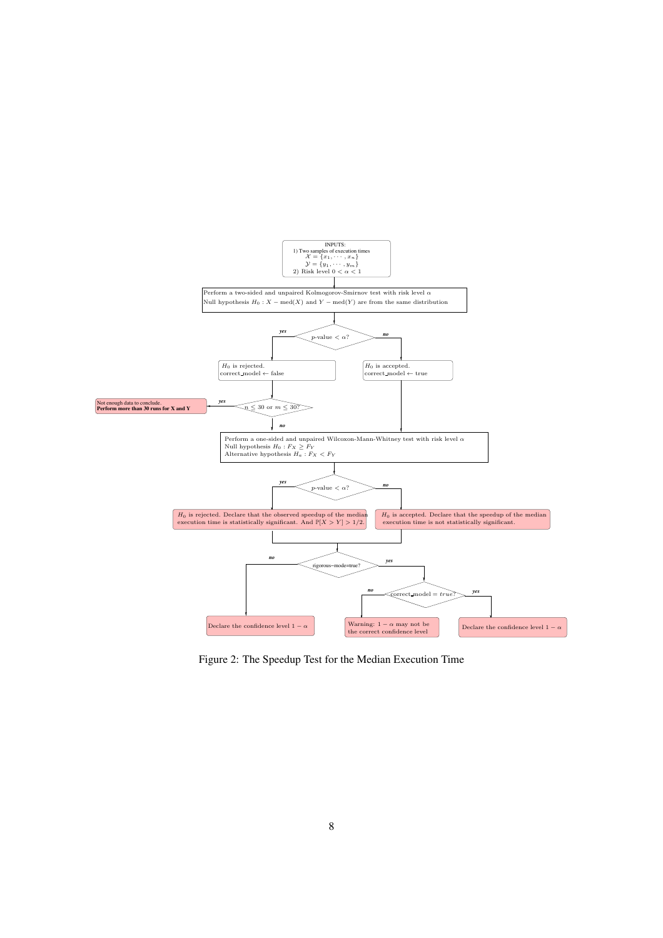

Figure 2: The Speedup Test for the Median Execution Time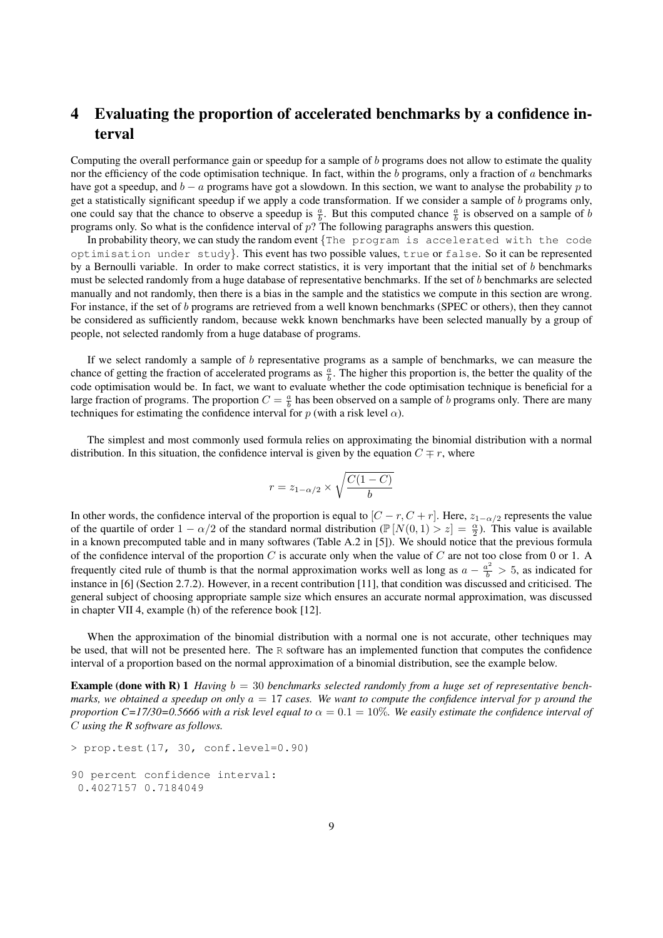# 4 Evaluating the proportion of accelerated benchmarks by a confidence interval

Computing the overall performance gain or speedup for a sample of  $b$  programs does not allow to estimate the quality nor the efficiency of the code optimisation technique. In fact, within the b programs, only a fraction of  $a$  benchmarks have got a speedup, and  $b - a$  programs have got a slowdown. In this section, we want to analyse the probability p to get a statistically significant speedup if we apply a code transformation. If we consider a sample of b programs only, one could say that the chance to observe a speedup is  $\frac{a}{b}$ . But this computed chance  $\frac{a}{b}$  is observed on a sample of b programs only. So what is the confidence interval of p? The following paragraphs answers this question.

In probability theory, we can study the random event  $\{$  The program is accelerated with the code optimisation under study}. This event has two possible values, true or false. So it can be represented by a Bernoulli variable. In order to make correct statistics, it is very important that the initial set of b benchmarks must be selected randomly from a huge database of representative benchmarks. If the set of b benchmarks are selected manually and not randomly, then there is a bias in the sample and the statistics we compute in this section are wrong. For instance, if the set of b programs are retrieved from a well known benchmarks (SPEC or others), then they cannot be considered as sufficiently random, because wekk known benchmarks have been selected manually by a group of people, not selected randomly from a huge database of programs.

If we select randomly a sample of  $b$  representative programs as a sample of benchmarks, we can measure the chance of getting the fraction of accelerated programs as  $\frac{a}{b}$ . The higher this proportion is, the better the quality of the code optimisation would be. In fact, we want to evaluate whether the code optimisation technique is beneficial for a large fraction of programs. The proportion  $C = \frac{a}{b}$  has been observed on a sample of b programs only. There are many techniques for estimating the confidence interval for p (with a risk level  $\alpha$ ).

The simplest and most commonly used formula relies on approximating the binomial distribution with a normal distribution. In this situation, the confidence interval is given by the equation  $C \neq r$ , where

$$
r = z_{1-\alpha/2} \times \sqrt{\frac{C(1-C)}{b}}
$$

In other words, the confidence interval of the proportion is equal to  $[C - r, C + r]$ . Here,  $z_{1-\alpha/2}$  represents the value of the quartile of order  $1 - \alpha/2$  of the standard normal distribution ( $\mathbb{P}[N(0,1) > z] = \frac{\alpha}{2}$ ). This value is available in a known precomputed table and in many softwares (Table A.2 in [5]). We should notice that the previous formula of the confidence interval of the proportion C is accurate only when the value of C are not too close from 0 or 1. A frequently cited rule of thumb is that the normal approximation works well as long as  $a - \frac{a^2}{b} > 5$ , as indicated for instance in [6] (Section 2.7.2). However, in a recent contribution [11], that condition was discussed and criticised. The general subject of choosing appropriate sample size which ensures an accurate normal approximation, was discussed in chapter VII 4, example (h) of the reference book [12].

When the approximation of the binomial distribution with a normal one is not accurate, other techniques may be used, that will not be presented here. The R software has an implemented function that computes the confidence interval of a proportion based on the normal approximation of a binomial distribution, see the example below.

**Example (done with R) 1** *Having*  $b = 30$  *benchmarks selected randomly from a huge set of representative benchmarks, we obtained a speedup on only* a = 17 *cases. We want to compute the confidence interval for* p *around the proportion C=17/30=0.5666 with a risk level equal to*  $\alpha = 0.1 = 10\%$ *. We easily estimate the confidence interval of* C *using the R software as follows.*

```
> prop.test(17, 30, conf.level=0.90)
90 percent confidence interval:
0.4027157 0.7184049
```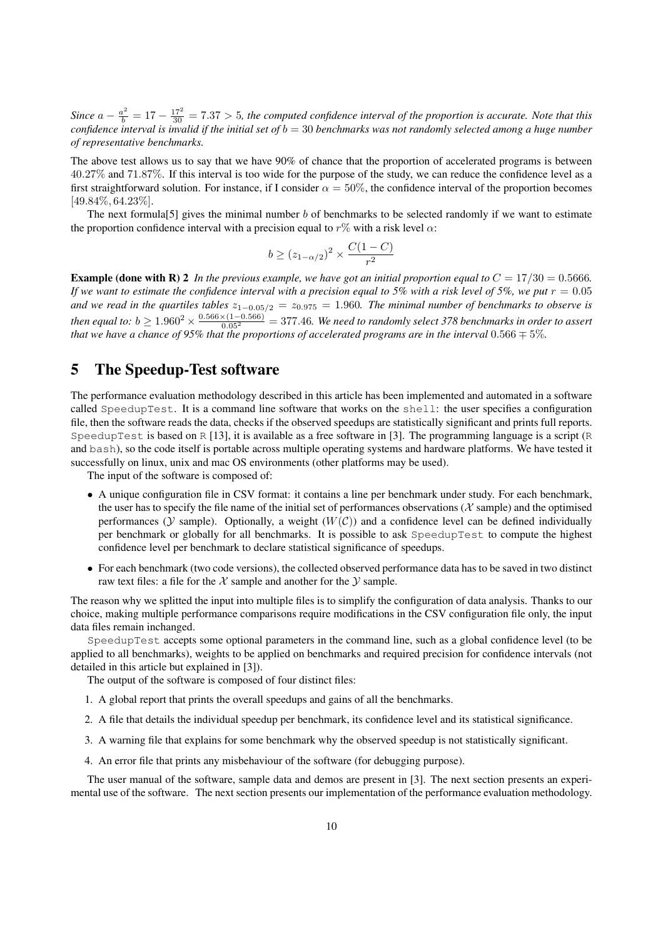Since  $a - \frac{a^2}{b} = 17 - \frac{17^2}{30} = 7.37 > 5$ , the computed confidence interval of the proportion is accurate. Note that this *confidence interval is invalid if the initial set of* b = 30 *benchmarks was not randomly selected among a huge number of representative benchmarks.*

The above test allows us to say that we have  $90\%$  of chance that the proportion of accelerated programs is between 40.27% and 71.87%. If this interval is too wide for the purpose of the study, we can reduce the confidence level as a first straightforward solution. For instance, if I consider  $\alpha = 50\%$ , the confidence interval of the proportion becomes [49.84%, 64.23%].

The next formula<sup>[5]</sup> gives the minimal number b of benchmarks to be selected randomly if we want to estimate the proportion confidence interval with a precision equal to  $r\%$  with a risk level  $\alpha$ :

$$
b \ge (z_{1-\alpha/2})^2 \times \frac{C(1-C)}{r^2}
$$

**Example (done with R) 2** In the previous example, we have got an initial proportion equal to  $C = 17/30 = 0.5666$ . If we want to estimate the confidence interval with a precision equal to 5% with a risk level of 5%, we put  $r = 0.05$ and we read in the quartiles tables  $z_{1-0.05/2} = z_{0.975} = 1.960$ . The minimal number of benchmarks to observe is then equal to:  $b \ge 1.960^2 \times \frac{0.566 \times (1-0.566)}{0.05^2} = 377.46$ . We need to randomly select 378 benchmarks in order to assert *that we have a chance of 95% that the proportions of accelerated programs are in the interval*  $0.566 \pm 5\%$ *.* 

## 5 The Speedup-Test software

The performance evaluation methodology described in this article has been implemented and automated in a software called SpeedupTest. It is a command line software that works on the shell: the user specifies a configuration file, then the software reads the data, checks if the observed speedups are statistically significant and prints full reports. SpeedupTest is based on  $R$  [13], it is available as a free software in [3]. The programming language is a script (R and bash), so the code itself is portable across multiple operating systems and hardware platforms. We have tested it successfully on linux, unix and mac OS environments (other platforms may be used).

The input of the software is composed of:

- A unique configuration file in CSV format: it contains a line per benchmark under study. For each benchmark, the user has to specify the file name of the initial set of performances observations ( $\mathcal X$  sample) and the optimised performances ( $Y$  sample). Optionally, a weight ( $W(C)$ ) and a confidence level can be defined individually per benchmark or globally for all benchmarks. It is possible to ask SpeedupTest to compute the highest confidence level per benchmark to declare statistical significance of speedups.
- For each benchmark (two code versions), the collected observed performance data has to be saved in two distinct raw text files: a file for the  $\chi$  sample and another for the  $\chi$  sample.

The reason why we splitted the input into multiple files is to simplify the configuration of data analysis. Thanks to our choice, making multiple performance comparisons require modifications in the CSV configuration file only, the input data files remain inchanged.

SpeedupTest accepts some optional parameters in the command line, such as a global confidence level (to be applied to all benchmarks), weights to be applied on benchmarks and required precision for confidence intervals (not detailed in this article but explained in [3]).

The output of the software is composed of four distinct files:

- 1. A global report that prints the overall speedups and gains of all the benchmarks.
- 2. A file that details the individual speedup per benchmark, its confidence level and its statistical significance.
- 3. A warning file that explains for some benchmark why the observed speedup is not statistically significant.
- 4. An error file that prints any misbehaviour of the software (for debugging purpose).

The user manual of the software, sample data and demos are present in [3]. The next section presents an experimental use of the software. The next section presents our implementation of the performance evaluation methodology.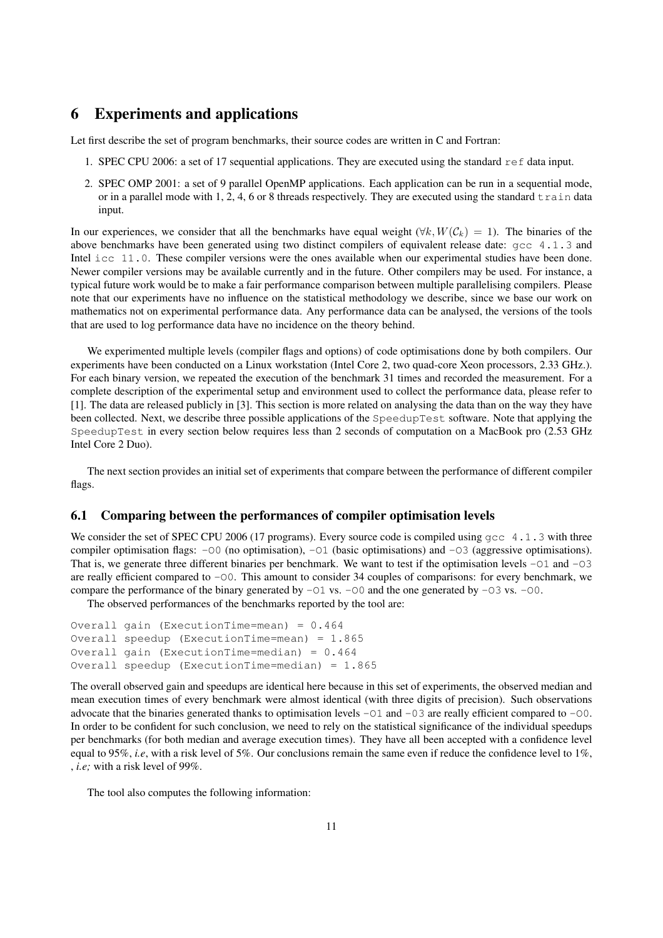## 6 Experiments and applications

Let first describe the set of program benchmarks, their source codes are written in C and Fortran:

- 1. SPEC CPU 2006: a set of 17 sequential applications. They are executed using the standard ref data input.
- 2. SPEC OMP 2001: a set of 9 parallel OpenMP applications. Each application can be run in a sequential mode, or in a parallel mode with 1, 2, 4, 6 or 8 threads respectively. They are executed using the standard  $\pm$  rain data input.

In our experiences, we consider that all the benchmarks have equal weight  $(\forall k, W(C_k) = 1)$ . The binaries of the above benchmarks have been generated using two distinct compilers of equivalent release date: gcc 4.1.3 and Intel icc 11.0. These compiler versions were the ones available when our experimental studies have been done. Newer compiler versions may be available currently and in the future. Other compilers may be used. For instance, a typical future work would be to make a fair performance comparison between multiple parallelising compilers. Please note that our experiments have no influence on the statistical methodology we describe, since we base our work on mathematics not on experimental performance data. Any performance data can be analysed, the versions of the tools that are used to log performance data have no incidence on the theory behind.

We experimented multiple levels (compiler flags and options) of code optimisations done by both compilers. Our experiments have been conducted on a Linux workstation (Intel Core 2, two quad-core Xeon processors, 2.33 GHz.). For each binary version, we repeated the execution of the benchmark 31 times and recorded the measurement. For a complete description of the experimental setup and environment used to collect the performance data, please refer to [1]. The data are released publicly in [3]. This section is more related on analysing the data than on the way they have been collected. Next, we describe three possible applications of the SpeedupTest software. Note that applying the SpeedupTest in every section below requires less than 2 seconds of computation on a MacBook pro (2.53 GHz Intel Core 2 Duo).

The next section provides an initial set of experiments that compare between the performance of different compiler flags.

#### 6.1 Comparing between the performances of compiler optimisation levels

We consider the set of SPEC CPU 2006 (17 programs). Every source code is compiled using gcc 4.1.3 with three compiler optimisation flags: -O0 (no optimisation), -O1 (basic optimisations) and -O3 (aggressive optimisations). That is, we generate three different binaries per benchmark. We want to test if the optimisation levels -01 and -03 are really efficient compared to -O0. This amount to consider 34 couples of comparisons: for every benchmark, we compare the performance of the binary generated by  $-01$  vs.  $-00$  and the one generated by  $-03$  vs.  $-00$ .

The observed performances of the benchmarks reported by the tool are:

```
Overall gain (ExecutionTime=mean) = 0.464
Overall speedup (ExecutionTime=mean) = 1.865
Overall gain (ExecutionTime=median) = 0.464
Overall speedup (ExecutionTime=median) = 1.865
```
The overall observed gain and speedups are identical here because in this set of experiments, the observed median and mean execution times of every benchmark were almost identical (with three digits of precision). Such observations advocate that the binaries generated thanks to optimisation levels  $-01$  and  $-03$  are really efficient compared to  $-00$ . In order to be confident for such conclusion, we need to rely on the statistical significance of the individual speedups per benchmarks (for both median and average execution times). They have all been accepted with a confidence level equal to 95%, *i.e*, with a risk level of 5%. Our conclusions remain the same even if reduce the confidence level to 1%, , *i.e;* with a risk level of 99%.

The tool also computes the following information: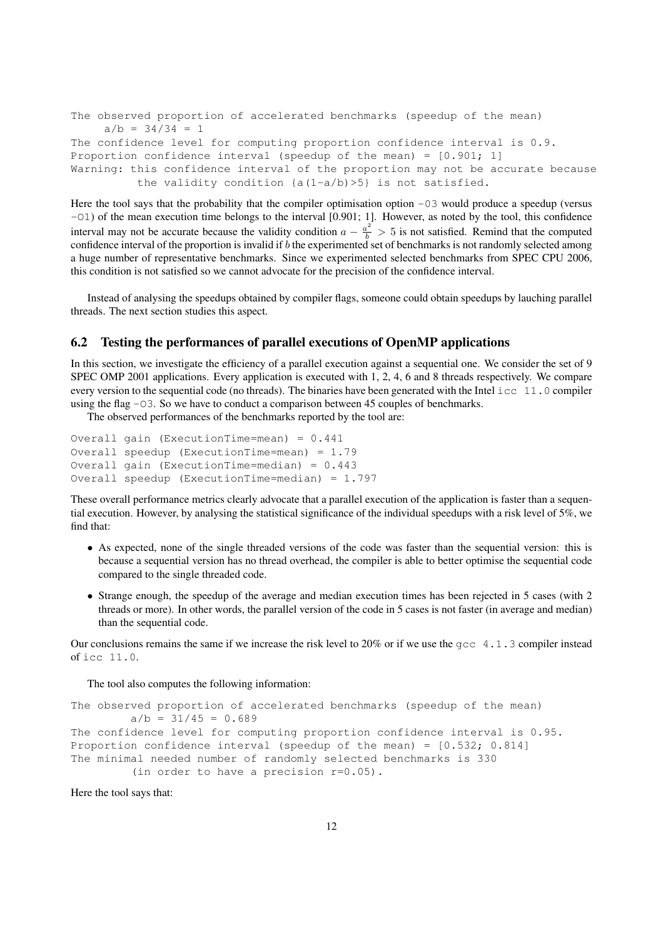```
The observed proportion of accelerated benchmarks (speedup of the mean)
    a/b = 34/34 = 1The confidence level for computing proportion confidence interval is 0.9.
Proportion confidence interval (speedup of the mean) = [0.901; 1]Warning: this confidence interval of the proportion may not be accurate because
          the validity condition {a(1-a/b)>5} is not satisfied.
```
Here the tool says that the probability that the compiler optimisation option  $-03$  would produce a speedup (versus -O1) of the mean execution time belongs to the interval [0.901; 1]. However, as noted by the tool, this confidence interval may not be accurate because the validity condition  $a - \frac{a^2}{b} > 5$  is not satisfied. Remind that the computed confidence interval of the proportion is invalid if  $b$  the experimented set of benchmarks is not randomly selected among a huge number of representative benchmarks. Since we experimented selected benchmarks from SPEC CPU 2006, this condition is not satisfied so we cannot advocate for the precision of the confidence interval.

Instead of analysing the speedups obtained by compiler flags, someone could obtain speedups by lauching parallel threads. The next section studies this aspect.

#### 6.2 Testing the performances of parallel executions of OpenMP applications

In this section, we investigate the efficiency of a parallel execution against a sequential one. We consider the set of 9 SPEC OMP 2001 applications. Every application is executed with 1, 2, 4, 6 and 8 threads respectively. We compare every version to the sequential code (no threads). The binaries have been generated with the Intel  $\text{icc } 11.0$  compiler using the flag  $-03$ . So we have to conduct a comparison between 45 couples of benchmarks.

The observed performances of the benchmarks reported by the tool are:

```
Overall gain (ExecutionTime=mean) = 0.441
Overall speedup (ExecutionTime=mean) = 1.79
Overall gain (ExecutionTime=median) = 0.443
Overall speedup (ExecutionTime=median) = 1.797
```
These overall performance metrics clearly advocate that a parallel execution of the application is faster than a sequential execution. However, by analysing the statistical significance of the individual speedups with a risk level of 5%, we find that:

- As expected, none of the single threaded versions of the code was faster than the sequential version: this is because a sequential version has no thread overhead, the compiler is able to better optimise the sequential code compared to the single threaded code.
- Strange enough, the speedup of the average and median execution times has been rejected in 5 cases (with 2 threads or more). In other words, the parallel version of the code in 5 cases is not faster (in average and median) than the sequential code.

Our conclusions remains the same if we increase the risk level to 20% or if we use the  $qcc$  4.1.3 compiler instead of icc 11.0.

The tool also computes the following information:

```
The observed proportion of accelerated benchmarks (speedup of the mean)
         a/b = 31/45 = 0.689The confidence level for computing proportion confidence interval is 0.95.
Proportion confidence interval (speedup of the mean) = [0.532; 0.814]
The minimal needed number of randomly selected benchmarks is 330
         (in order to have a precision r=0.05).
```
Here the tool says that: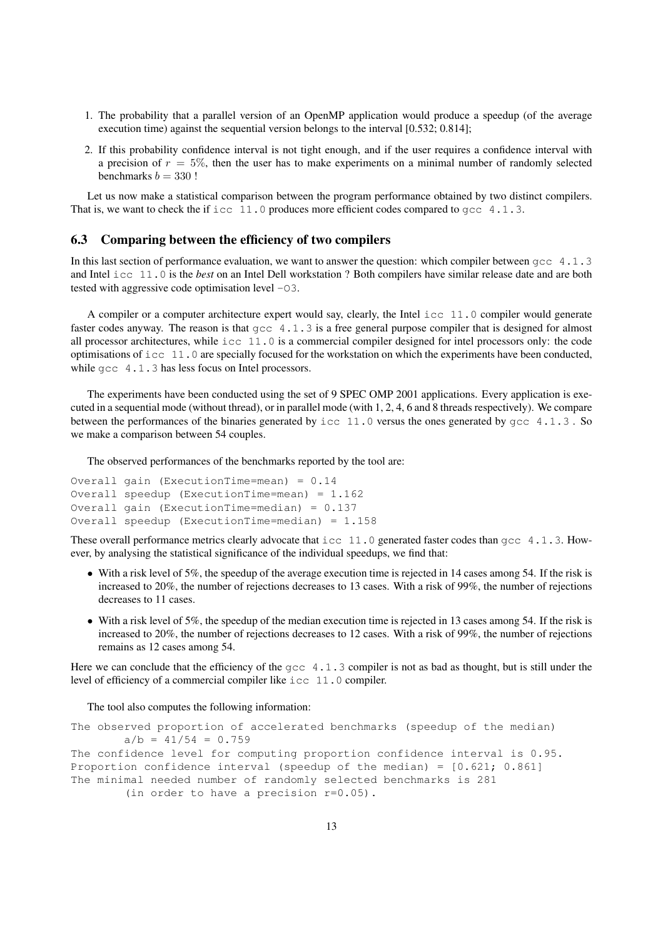- 1. The probability that a parallel version of an OpenMP application would produce a speedup (of the average execution time) against the sequential version belongs to the interval [0.532; 0.814];
- 2. If this probability confidence interval is not tight enough, and if the user requires a confidence interval with a precision of  $r = 5\%$ , then the user has to make experiments on a minimal number of randomly selected benchmarks  $b = 330$ !

Let us now make a statistical comparison between the program performance obtained by two distinct compilers. That is, we want to check the if icc 11.0 produces more efficient codes compared to  $qcc$  4.1.3.

#### 6.3 Comparing between the efficiency of two compilers

In this last section of performance evaluation, we want to answer the question: which compiler between  $qcc$  4.1.3 and Intel icc 11.0 is the *best* on an Intel Dell workstation ? Both compilers have similar release date and are both tested with aggressive code optimisation level -O3.

A compiler or a computer architecture expert would say, clearly, the Intel icc 11.0 compiler would generate faster codes anyway. The reason is that  $qcc$  4.1.3 is a free general purpose compiler that is designed for almost all processor architectures, while icc 11.0 is a commercial compiler designed for intel processors only: the code optimisations of  $\text{icc } 11.0$  are specially focused for the workstation on which the experiments have been conducted, while gcc 4.1.3 has less focus on Intel processors.

The experiments have been conducted using the set of 9 SPEC OMP 2001 applications. Every application is executed in a sequential mode (without thread), or in parallel mode (with 1, 2, 4, 6 and 8 threads respectively). We compare between the performances of the binaries generated by icc 11.0 versus the ones generated by  $qcc$  4.1.3. So we make a comparison between 54 couples.

The observed performances of the benchmarks reported by the tool are:

```
Overall gain (ExecutionTime=mean) = 0.14
Overall speedup (ExecutionTime=mean) = 1.162
Overall gain (ExecutionTime=median) = 0.137
Overall speedup (ExecutionTime=median) = 1.158
```
These overall performance metrics clearly advocate that  $\text{icc } 11.0$  generated faster codes than  $\text{qcc } 4.1.3$ . However, by analysing the statistical significance of the individual speedups, we find that:

- With a risk level of 5%, the speedup of the average execution time is rejected in 14 cases among 54. If the risk is increased to 20%, the number of rejections decreases to 13 cases. With a risk of 99%, the number of rejections decreases to 11 cases.
- With a risk level of 5%, the speedup of the median execution time is rejected in 13 cases among 54. If the risk is increased to 20%, the number of rejections decreases to 12 cases. With a risk of 99%, the number of rejections remains as 12 cases among 54.

Here we can conclude that the efficiency of the gcc 4.1.3 compiler is not as bad as thought, but is still under the level of efficiency of a commercial compiler like icc 11.0 compiler.

The tool also computes the following information:

```
The observed proportion of accelerated benchmarks (speedup of the median)
       a/b = 41/54 = 0.759The confidence level for computing proportion confidence interval is 0.95.
Proportion confidence interval (speedup of the median) = [0.621; 0.861]
The minimal needed number of randomly selected benchmarks is 281
        (in order to have a precision r=0.05).
```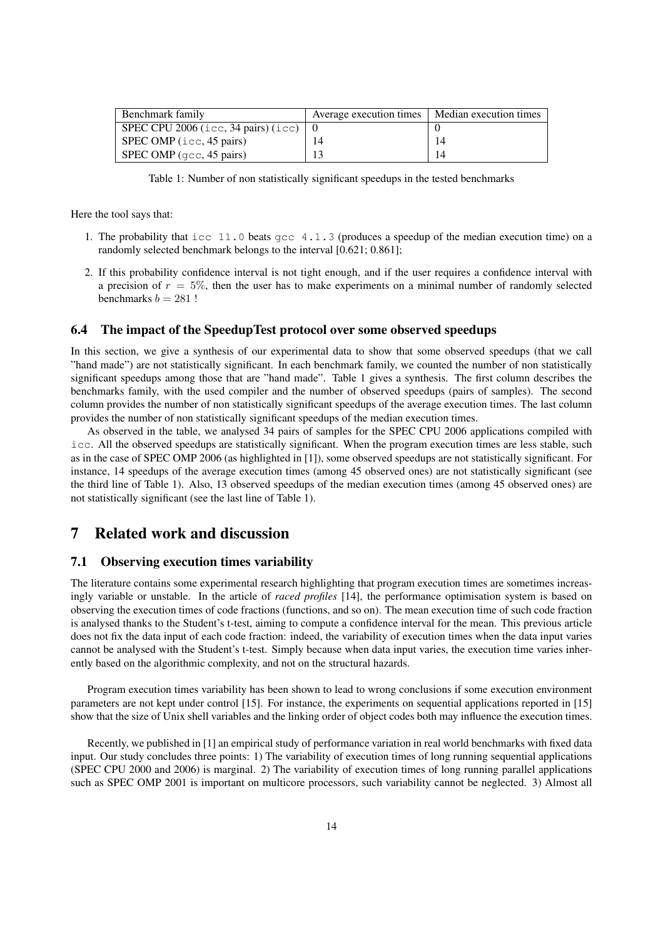| Benchmark family                                                           | Average execution times | Median execution times |
|----------------------------------------------------------------------------|-------------------------|------------------------|
| SPEC CPU 2006 (icc, 34 pairs) (icc) $\begin{pmatrix} 0 \\ 0 \end{pmatrix}$ |                         |                        |
| SPEC OMP $(icc, 45 \text{ pairs})$                                         | 14                      | 14                     |
| SPEC OMP $(\text{qcc}, 45 \text{ pairs})$                                  |                         | 14                     |

Table 1: Number of non statistically significant speedups in the tested benchmarks

Here the tool says that:

- 1. The probability that icc 11.0 beats gcc 4.1.3 (produces a speedup of the median execution time) on a randomly selected benchmark belongs to the interval [0.621; 0.861];
- 2. If this probability confidence interval is not tight enough, and if the user requires a confidence interval with a precision of  $r = 5\%$ , then the user has to make experiments on a minimal number of randomly selected benchmarks  $b = 281$ !

#### 6.4 The impact of the SpeedupTest protocol over some observed speedups

In this section, we give a synthesis of our experimental data to show that some observed speedups (that we call "hand made") are not statistically significant. In each benchmark family, we counted the number of non statistically significant speedups among those that are "hand made". Table 1 gives a synthesis. The first column describes the benchmarks family, with the used compiler and the number of observed speedups (pairs of samples). The second column provides the number of non statistically significant speedups of the average execution times. The last column provides the number of non statistically significant speedups of the median execution times.

As observed in the table, we analysed 34 pairs of samples for the SPEC CPU 2006 applications compiled with icc. All the observed speedups are statistically significant. When the program execution times are less stable, such as in the case of SPEC OMP 2006 (as highlighted in [1]), some observed speedups are not statistically significant. For instance, 14 speedups of the average execution times (among 45 observed ones) are not statistically significant (see the third line of Table 1). Also, 13 observed speedups of the median execution times (among 45 observed ones) are not statistically significant (see the last line of Table 1).

# 7 Related work and discussion

#### 7.1 Observing execution times variability

The literature contains some experimental research highlighting that program execution times are sometimes increasingly variable or unstable. In the article of *raced profiles* [14], the performance optimisation system is based on observing the execution times of code fractions (functions, and so on). The mean execution time of such code fraction is analysed thanks to the Student's t-test, aiming to compute a confidence interval for the mean. This previous article does not fix the data input of each code fraction: indeed, the variability of execution times when the data input varies cannot be analysed with the Student's t-test. Simply because when data input varies, the execution time varies inherently based on the algorithmic complexity, and not on the structural hazards.

Program execution times variability has been shown to lead to wrong conclusions if some execution environment parameters are not kept under control [15]. For instance, the experiments on sequential applications reported in [15] show that the size of Unix shell variables and the linking order of object codes both may influence the execution times.

Recently, we published in [1] an empirical study of performance variation in real world benchmarks with fixed data input. Our study concludes three points: 1) The variability of execution times of long running sequential applications (SPEC CPU 2000 and 2006) is marginal. 2) The variability of execution times of long running parallel applications such as SPEC OMP 2001 is important on multicore processors, such variability cannot be neglected. 3) Almost all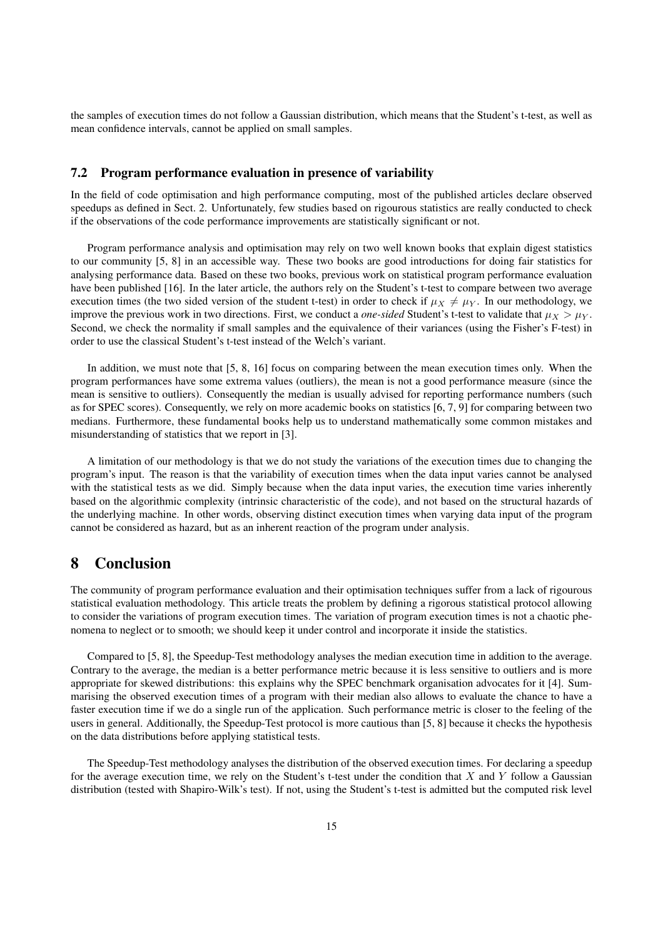the samples of execution times do not follow a Gaussian distribution, which means that the Student's t-test, as well as mean confidence intervals, cannot be applied on small samples.

#### 7.2 Program performance evaluation in presence of variability

In the field of code optimisation and high performance computing, most of the published articles declare observed speedups as defined in Sect. 2. Unfortunately, few studies based on rigourous statistics are really conducted to check if the observations of the code performance improvements are statistically significant or not.

Program performance analysis and optimisation may rely on two well known books that explain digest statistics to our community [5, 8] in an accessible way. These two books are good introductions for doing fair statistics for analysing performance data. Based on these two books, previous work on statistical program performance evaluation have been published [16]. In the later article, the authors rely on the Student's t-test to compare between two average execution times (the two sided version of the student t-test) in order to check if  $\mu_X \neq \mu_Y$ . In our methodology, we improve the previous work in two directions. First, we conduct a *one-sided* Student's t-test to validate that  $\mu_X > \mu_Y$ . Second, we check the normality if small samples and the equivalence of their variances (using the Fisher's F-test) in order to use the classical Student's t-test instead of the Welch's variant.

In addition, we must note that [5, 8, 16] focus on comparing between the mean execution times only. When the program performances have some extrema values (outliers), the mean is not a good performance measure (since the mean is sensitive to outliers). Consequently the median is usually advised for reporting performance numbers (such as for SPEC scores). Consequently, we rely on more academic books on statistics [6, 7, 9] for comparing between two medians. Furthermore, these fundamental books help us to understand mathematically some common mistakes and misunderstanding of statistics that we report in [3].

A limitation of our methodology is that we do not study the variations of the execution times due to changing the program's input. The reason is that the variability of execution times when the data input varies cannot be analysed with the statistical tests as we did. Simply because when the data input varies, the execution time varies inherently based on the algorithmic complexity (intrinsic characteristic of the code), and not based on the structural hazards of the underlying machine. In other words, observing distinct execution times when varying data input of the program cannot be considered as hazard, but as an inherent reaction of the program under analysis.

### 8 Conclusion

The community of program performance evaluation and their optimisation techniques suffer from a lack of rigourous statistical evaluation methodology. This article treats the problem by defining a rigorous statistical protocol allowing to consider the variations of program execution times. The variation of program execution times is not a chaotic phenomena to neglect or to smooth; we should keep it under control and incorporate it inside the statistics.

Compared to [5, 8], the Speedup-Test methodology analyses the median execution time in addition to the average. Contrary to the average, the median is a better performance metric because it is less sensitive to outliers and is more appropriate for skewed distributions: this explains why the SPEC benchmark organisation advocates for it [4]. Summarising the observed execution times of a program with their median also allows to evaluate the chance to have a faster execution time if we do a single run of the application. Such performance metric is closer to the feeling of the users in general. Additionally, the Speedup-Test protocol is more cautious than [5, 8] because it checks the hypothesis on the data distributions before applying statistical tests.

The Speedup-Test methodology analyses the distribution of the observed execution times. For declaring a speedup for the average execution time, we rely on the Student's t-test under the condition that  $X$  and  $Y$  follow a Gaussian distribution (tested with Shapiro-Wilk's test). If not, using the Student's t-test is admitted but the computed risk level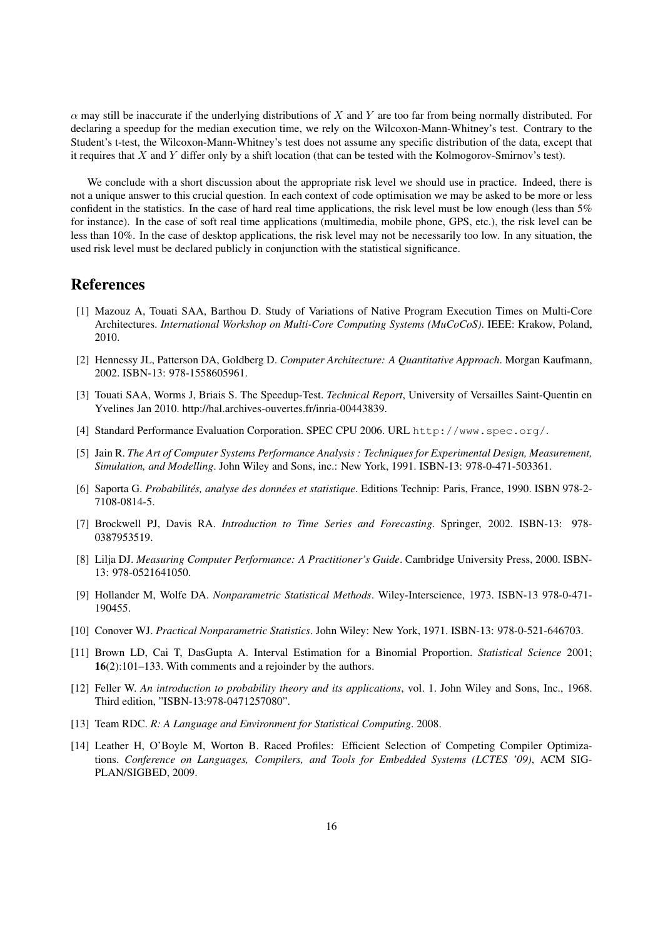$\alpha$  may still be inaccurate if the underlying distributions of X and Y are too far from being normally distributed. For declaring a speedup for the median execution time, we rely on the Wilcoxon-Mann-Whitney's test. Contrary to the Student's t-test, the Wilcoxon-Mann-Whitney's test does not assume any specific distribution of the data, except that it requires that  $X$  and  $Y$  differ only by a shift location (that can be tested with the Kolmogorov-Smirnov's test).

We conclude with a short discussion about the appropriate risk level we should use in practice. Indeed, there is not a unique answer to this crucial question. In each context of code optimisation we may be asked to be more or less confident in the statistics. In the case of hard real time applications, the risk level must be low enough (less than  $5\%$ ) for instance). In the case of soft real time applications (multimedia, mobile phone, GPS, etc.), the risk level can be less than 10%. In the case of desktop applications, the risk level may not be necessarily too low. In any situation, the used risk level must be declared publicly in conjunction with the statistical significance.

### **References**

- [1] Mazouz A, Touati SAA, Barthou D. Study of Variations of Native Program Execution Times on Multi-Core Architectures. *International Workshop on Multi-Core Computing Systems (MuCoCoS)*. IEEE: Krakow, Poland, 2010.
- [2] Hennessy JL, Patterson DA, Goldberg D. *Computer Architecture: A Quantitative Approach*. Morgan Kaufmann, 2002. ISBN-13: 978-1558605961.
- [3] Touati SAA, Worms J, Briais S. The Speedup-Test. *Technical Report*, University of Versailles Saint-Quentin en Yvelines Jan 2010. http://hal.archives-ouvertes.fr/inria-00443839.
- [4] Standard Performance Evaluation Corporation. SPEC CPU 2006. URL http://www.spec.org/.
- [5] Jain R. *The Art of Computer Systems Performance Analysis : Techniques for Experimental Design, Measurement, Simulation, and Modelling*. John Wiley and Sons, inc.: New York, 1991. ISBN-13: 978-0-471-503361.
- [6] Saporta G. *Probabilites, analyse des donn ´ ees et statistique ´* . Editions Technip: Paris, France, 1990. ISBN 978-2- 7108-0814-5.
- [7] Brockwell PJ, Davis RA. *Introduction to Time Series and Forecasting*. Springer, 2002. ISBN-13: 978- 0387953519.
- [8] Lilja DJ. *Measuring Computer Performance: A Practitioner's Guide*. Cambridge University Press, 2000. ISBN-13: 978-0521641050.
- [9] Hollander M, Wolfe DA. *Nonparametric Statistical Methods*. Wiley-Interscience, 1973. ISBN-13 978-0-471- 190455.
- [10] Conover WJ. *Practical Nonparametric Statistics*. John Wiley: New York, 1971. ISBN-13: 978-0-521-646703.
- [11] Brown LD, Cai T, DasGupta A. Interval Estimation for a Binomial Proportion. *Statistical Science* 2001; 16(2):101–133. With comments and a rejoinder by the authors.
- [12] Feller W. *An introduction to probability theory and its applications*, vol. 1. John Wiley and Sons, Inc., 1968. Third edition, "ISBN-13:978-0471257080".
- [13] Team RDC. *R: A Language and Environment for Statistical Computing*. 2008.
- [14] Leather H, O'Boyle M, Worton B. Raced Profiles: Efficient Selection of Competing Compiler Optimizations. *Conference on Languages, Compilers, and Tools for Embedded Systems (LCTES '09)*, ACM SIG-PLAN/SIGBED, 2009.